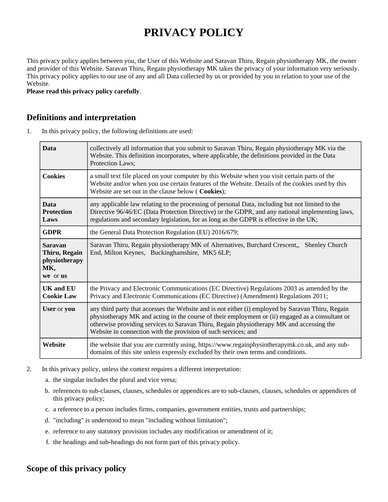# **PRIVACY POLICY**

This privacy policy applies between you, the User of this Website and Saravan Thiru, Regain physiotherapy MK, the owner and provider of this Website. Saravan Thiru, Regain physiotherapy MK takes the privacy of your information very seriously. This privacy policy applies to our use of any and all Data collected by us or provided by you in relation to your use of the Website.

**Please read this privacy policy carefully**.

# **Definitions and interpretation**

1. In this privacy policy, the following definitions are used:

| <b>Data</b>                                                         | collectively all information that you submit to Saravan Thiru, Regain physiotherapy MK via the<br>Website. This definition incorporates, where applicable, the definitions provided in the Data<br>Protection Laws;                                                                                                                                                 |  |
|---------------------------------------------------------------------|---------------------------------------------------------------------------------------------------------------------------------------------------------------------------------------------------------------------------------------------------------------------------------------------------------------------------------------------------------------------|--|
| <b>Cookies</b>                                                      | a small text file placed on your computer by this Website when you visit certain parts of the<br>Website and/or when you use certain features of the Website. Details of the cookies used by this<br>Website are set out in the clause below ( Cookies);                                                                                                            |  |
| <b>Data</b><br><b>Protection</b><br>Laws                            | any applicable law relating to the processing of personal Data, including but not limited to the<br>Directive 96/46/EC (Data Protection Directive) or the GDPR, and any national implementing laws,<br>regulations and secondary legislation, for as long as the GDPR is effective in the UK;                                                                       |  |
| <b>GDPR</b>                                                         | the General Data Protection Regulation (EU) 2016/679;                                                                                                                                                                                                                                                                                                               |  |
| <b>Saravan</b><br>Thiru, Regain<br>physiotherapy<br>MK,<br>we or us | Saravan Thiru, Regain physiotherapy MK of Alternatives, Burchard Crescent,, Shenley Church<br>End, Milton Keynes, Buckinghamshire, MK5 6LP;                                                                                                                                                                                                                         |  |
| <b>UK and EU</b><br><b>Cookie Law</b>                               | the Privacy and Electronic Communications (EC Directive) Regulations 2003 as amended by the<br>Privacy and Electronic Communications (EC Directive) (Amendment) Regulations 2011;                                                                                                                                                                                   |  |
| User or you                                                         | any third party that accesses the Website and is not either (i) employed by Saravan Thiru, Regain<br>physiotherapy MK and acting in the course of their employment or (ii) engaged as a consultant or<br>otherwise providing services to Saravan Thiru, Regain physiotherapy MK and accessing the<br>Website in connection with the provision of such services; and |  |
| Website                                                             | the website that you are currently using, https://www.regainphysiotherapymk.co.uk, and any sub-<br>domains of this site unless expressly excluded by their own terms and conditions.                                                                                                                                                                                |  |

- 2. In this privacy policy, unless the context requires a different interpretation:
	- a. the singular includes the plural and vice versa;
	- b. references to sub-clauses, clauses, schedules or appendices are to sub-clauses, clauses, schedules or appendices of this privacy policy;
	- c. a reference to a person includes firms, companies, government entities, trusts and partnerships;
	- d. "including" is understood to mean "including without limitation";
	- e. reference to any statutory provision includes any modification or amendment of it;
	- f. the headings and sub-headings do not form part of this privacy policy.

# **Scope of this privacy policy**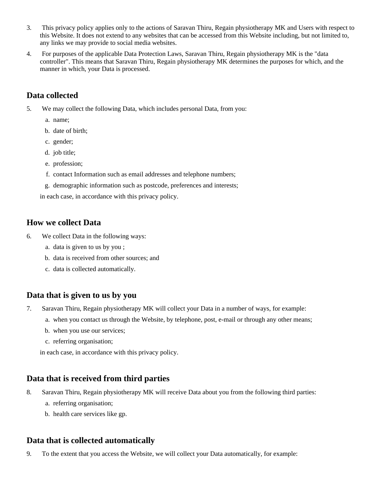- 3. This privacy policy applies only to the actions of Saravan Thiru, Regain physiotherapy MK and Users with respect to this Website. It does not extend to any websites that can be accessed from this Website including, but not limited to, any links we may provide to social media websites.
- 4. For purposes of the applicable Data Protection Laws, Saravan Thiru, Regain physiotherapy MK is the "data controller". This means that Saravan Thiru, Regain physiotherapy MK determines the purposes for which, and the manner in which, your Data is processed.

# **Data collected**

- 5. We may collect the following Data, which includes personal Data, from you:
	- a. name;
	- b. date of birth;
	- c. gender;
	- d. job title;
	- e. profession;
	- f. contact Information such as email addresses and telephone numbers;
	- g. demographic information such as postcode, preferences and interests;

in each case, in accordance with this privacy policy.

#### **How we collect Data**

- 6. We collect Data in the following ways:
	- a. data is given to us by you ;
	- b. data is received from other sources; and
	- c. data is collected automatically.

## **Data that is given to us by you**

- 7. Saravan Thiru, Regain physiotherapy MK will collect your Data in a number of ways, for example:
	- a. when you contact us through the Website, by telephone, post, e-mail or through any other means;
	- b. when you use our services;
	- c. referring organisation;

in each case, in accordance with this privacy policy.

## **Data that is received from third parties**

- 8. Saravan Thiru, Regain physiotherapy MK will receive Data about you from the following third parties:
	- a. referring organisation;
	- b. health care services like gp.

## **Data that is collected automatically**

9. To the extent that you access the Website, we will collect your Data automatically, for example: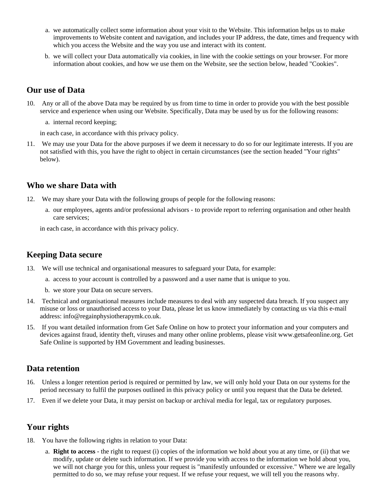- a. we automatically collect some information about your visit to the Website. This information helps us to make improvements to Website content and navigation, and includes your IP address, the date, times and frequency with which you access the Website and the way you use and interact with its content.
- b. we will collect your Data automatically via cookies, in line with the cookie settings on your browser. For more information about cookies, and how we use them on the Website, see the section below, headed "Cookies".

## **Our use of Data**

10. Any or all of the above Data may be required by us from time to time in order to provide you with the best possible service and experience when using our Website. Specifically, Data may be used by us for the following reasons:

a. internal record keeping;

in each case, in accordance with this privacy policy.

11. We may use your Data for the above purposes if we deem it necessary to do so for our legitimate interests. If you are not satisfied with this, you have the right to object in certain circumstances (see the section headed "Your rights" below).

# **Who we share Data with**

- 12. We may share your Data with the following groups of people for the following reasons:
	- a. our employees, agents and/or professional advisors to provide report to referring organisation and other health care services;

in each case, in accordance with this privacy policy.

#### **Keeping Data secure**

- 13. We will use technical and organisational measures to safeguard your Data, for example:
	- a. access to your account is controlled by a password and a user name that is unique to you.
	- b. we store your Data on secure servers.
- 14. Technical and organisational measures include measures to deal with any suspected data breach. If you suspect any misuse or loss or unauthorised access to your Data, please let us know immediately by contacting us via this e-mail address: info@regainphysiotherapymk.co.uk.
- 15. If you want detailed information from Get Safe Online on how to protect your information and your computers and devices against fraud, identity theft, viruses and many other online problems, please visit www.getsafeonline.org. Get Safe Online is supported by HM Government and leading businesses.

#### **Data retention**

- 16. Unless a longer retention period is required or permitted by law, we will only hold your Data on our systems for the period necessary to fulfil the purposes outlined in this privacy policy or until you request that the Data be deleted.
- 17. Even if we delete your Data, it may persist on backup or archival media for legal, tax or regulatory purposes.

#### **Your rights**

- 18. You have the following rights in relation to your Data:
	- a. **Right to access** the right to request (i) copies of the information we hold about you at any time, or (ii) that we modify, update or delete such information. If we provide you with access to the information we hold about you, we will not charge you for this, unless your request is "manifestly unfounded or excessive." Where we are legally permitted to do so, we may refuse your request. If we refuse your request, we will tell you the reasons why.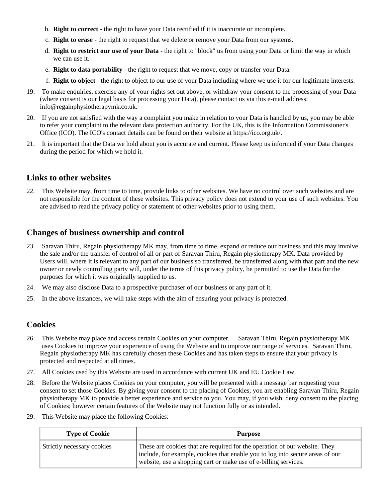- b. **Right to correct** the right to have your Data rectified if it is inaccurate or incomplete.
- c. **Right to erase** the right to request that we delete or remove your Data from our systems.
- d. **Right to restrict our use of your Data** the right to "block" us from using your Data or limit the way in which we can use it.
- e. **Right to data portability** the right to request that we move, copy or transfer your Data.
- f. **Right to object** the right to object to our use of your Data including where we use it for our legitimate interests.
- 19. To make enquiries, exercise any of your rights set out above, or withdraw your consent to the processing of your Data (where consent is our legal basis for processing your Data), please contact us via this e-mail address: info@regainphysiotherapymk.co.uk.
- 20. If you are not satisfied with the way a complaint you make in relation to your Data is handled by us, you may be able to refer your complaint to the relevant data protection authority. For the UK, this is the Information Commissioner's Office (ICO). The ICO's contact details can be found on their website at https://ico.org.uk/.
- 21. It is important that the Data we hold about you is accurate and current. Please keep us informed if your Data changes during the period for which we hold it.

#### **Links to other websites**

22. This Website may, from time to time, provide links to other websites. We have no control over such websites and are not responsible for the content of these websites. This privacy policy does not extend to your use of such websites. You are advised to read the privacy policy or statement of other websites prior to using them.

# **Changes of business ownership and control**

- 23. Saravan Thiru, Regain physiotherapy MK may, from time to time, expand or reduce our business and this may involve the sale and/or the transfer of control of all or part of Saravan Thiru, Regain physiotherapy MK. Data provided by Users will, where it is relevant to any part of our business so transferred, be transferred along with that part and the new owner or newly controlling party will, under the terms of this privacy policy, be permitted to use the Data for the purposes for which it was originally supplied to us.
- 24. We may also disclose Data to a prospective purchaser of our business or any part of it.
- 25. In the above instances, we will take steps with the aim of ensuring your privacy is protected.

#### **Cookies**

- 26. This Website may place and access certain Cookies on your computer. Saravan Thiru, Regain physiotherapy MK uses Cookies to improve your experience of using the Website and to improve our range of services. Saravan Thiru, Regain physiotherapy MK has carefully chosen these Cookies and has taken steps to ensure that your privacy is protected and respected at all times.
- 27. All Cookies used by this Website are used in accordance with current UK and EU Cookie Law.
- 28. Before the Website places Cookies on your computer, you will be presented with a message bar requesting your consent to set those Cookies. By giving your consent to the placing of Cookies, you are enabling Saravan Thiru, Regain physiotherapy MK to provide a better experience and service to you. You may, if you wish, deny consent to the placing of Cookies; however certain features of the Website may not function fully or as intended.
- 29. This Website may place the following Cookies:

| <b>Type of Cookie</b>      | <b>Purpose</b>                                                                                                                                                                                                                 |
|----------------------------|--------------------------------------------------------------------------------------------------------------------------------------------------------------------------------------------------------------------------------|
| Strictly necessary cookies | These are cookies that are required for the operation of our website. They<br>include, for example, cookies that enable you to log into secure areas of our<br>website, use a shopping cart or make use of e-billing services. |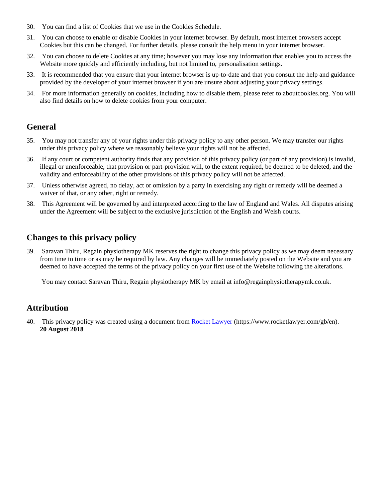- 30. You can find a list of Cookies that we use in the Cookies Schedule.
- 31. You can choose to enable or disable Cookies in your internet browser. By default, most internet browsers accept Cookies but this can be changed. For further details, please consult the help menu in your internet browser.
- 32. You can choose to delete Cookies at any time; however you may lose any information that enables you to access the Website more quickly and efficiently including, but not limited to, personalisation settings.
- 33. It is recommended that you ensure that your internet browser is up-to-date and that you consult the help and guidance provided by the developer of your internet browser if you are unsure about adjusting your privacy settings.
- 34. For more information generally on cookies, including how to disable them, please refer to aboutcookies.org. You will also find details on how to delete cookies from your computer.

# **General**

- 35. You may not transfer any of your rights under this privacy policy to any other person. We may transfer our rights under this privacy policy where we reasonably believe your rights will not be affected.
- 36. If any court or competent authority finds that any provision of this privacy policy (or part of any provision) is invalid, illegal or unenforceable, that provision or part-provision will, to the extent required, be deemed to be deleted, and the validity and enforceability of the other provisions of this privacy policy will not be affected.
- 37. Unless otherwise agreed, no delay, act or omission by a party in exercising any right or remedy will be deemed a waiver of that, or any other, right or remedy.
- 38. This Agreement will be governed by and interpreted according to the law of England and Wales. All disputes arising under the Agreement will be subject to the exclusive jurisdiction of the English and Welsh courts.

# **Changes to this privacy policy**

39. Saravan Thiru, Regain physiotherapy MK reserves the right to change this privacy policy as we may deem necessary from time to time or as may be required by law. Any changes will be immediately posted on the Website and you are deemed to have accepted the terms of the privacy policy on your first use of the Website following the alterations.

You may contact Saravan Thiru, Regain physiotherapy MK by email at info@regainphysiotherapymk.co.uk.

# **Attribution**

40. This privacy policy was created using a document from [Rocket Lawyer](https://www.rocketlawyer.com/gb/en/) (https://www.rocketlawyer.com/gb/en). **20 August 2018**